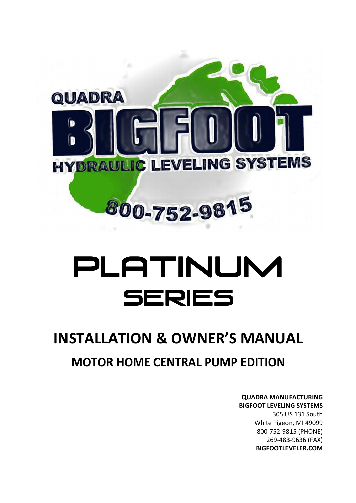

# PLATINUM SERIES

## **INSTALLATION & OWNER'S MANUAL MOTOR HOME CENTRAL PUMP EDITION**

**QUADRA MANUFACTURING BIGFOOT LEVELING SYSTEMS**  305 US 131 South White Pigeon, MI 49099 800-752-9815 (PHONE) 269-483-9636 (FAX) **BIGFOOTLEVELER.COM**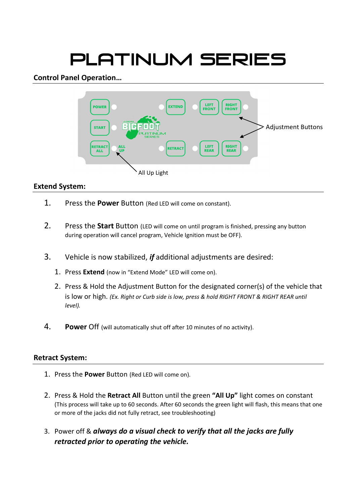# PLATINUM Series

#### **Control Panel Operation…**



#### **Extend System:**

- 1. Press the **Power** Button (Red LED will come on constant).
- 2. Press the **Start** Button (LED will come on until program is finished, pressing any button during operation will cancel program, Vehicle Ignition must be OFF).
- 3. Vehicle is now stabilized, *if* additional adjustments are desired:
	- 1. Press **Extend** (now in "Extend Mode" LED will come on).
	- 2. Press & Hold the Adjustment Button for the designated corner(s) of the vehicle that is low or high. *(Ex. Right or Curb side is low, press & hold RIGHT FRONT & RIGHT REAR until level).*
- 4. **Power** Off (will automatically shut off after 10 minutes of no activity).

#### **Retract System:**

- 1. Press the **Power** Button (Red LED will come on).
- 2. Press & Hold the **Retract All** Button until the green **"All Up"** light comes on constant (This process will take up to 60 seconds. After 60 seconds the green light will flash, this means that one or more of the jacks did not fully retract, see troubleshooting)
- 3. Power off & *always do a visual check to verify that all the jacks are fully retracted prior to operating the vehicle.*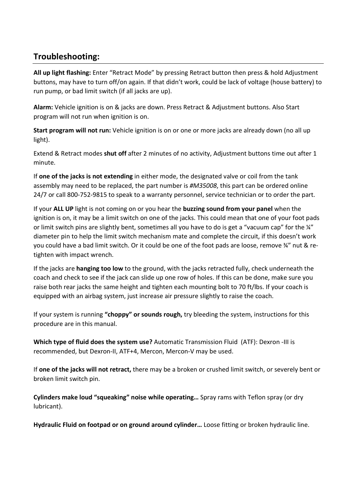#### **Troubleshooting:**

**All up light flashing:** Enter "Retract Mode" by pressing Retract button then press & hold Adjustment buttons, may have to turn off/on again. If that didn't work, could be lack of voltage (house battery) to run pump, or bad limit switch (if all jacks are up).

**Alarm:** Vehicle ignition is on & jacks are down. Press Retract & Adjustment buttons. Also Start program will not run when ignition is on.

**Start program will not run:** Vehicle ignition is on or one or more jacks are already down (no all up light).

Extend & Retract modes **shut off** after 2 minutes of no activity, Adjustment buttons time out after 1 minute.

If **one of the jacks is not extending** in either mode, the designated valve or coil from the tank assembly may need to be replaced, the part number is *#M35008*, this part can be ordered online 24/7 or call 800-752-9815 to speak to a warranty personnel, service technician or to order the part.

If your **ALL UP** light is not coming on or you hear the **buzzing sound from your panel** when the ignition is on, it may be a limit switch on one of the jacks. This could mean that one of your foot pads or limit switch pins are slightly bent, sometimes all you have to do is get a "vacuum cap" for the ¼" diameter pin to help the limit switch mechanism mate and complete the circuit, if this doesn't work you could have a bad limit switch. Or it could be one of the foot pads are loose, remove ¾" nut & retighten with impact wrench.

If the jacks are **hanging too low** to the ground, with the jacks retracted fully, check underneath the coach and check to see if the jack can slide up one row of holes. If this can be done, make sure you raise both rear jacks the same height and tighten each mounting bolt to 70 ft/lbs. If your coach is equipped with an airbag system, just increase air pressure slightly to raise the coach.

If your system is running **"choppy" or sounds rough,** try bleeding the system, instructions for this procedure are in this manual.

**Which type of fluid does the system use?** Automatic Transmission Fluid (ATF): Dexron -III is recommended, but Dexron-II, ATF+4, Mercon, Mercon-V may be used.

If **one of the jacks will not retract,** there may be a broken or crushed limit switch, or severely bent or broken limit switch pin.

**Cylinders make loud "squeaking" noise while operating…** Spray rams with Teflon spray (or dry lubricant).

**Hydraulic Fluid on footpad or on ground around cylinder…** Loose fitting or broken hydraulic line.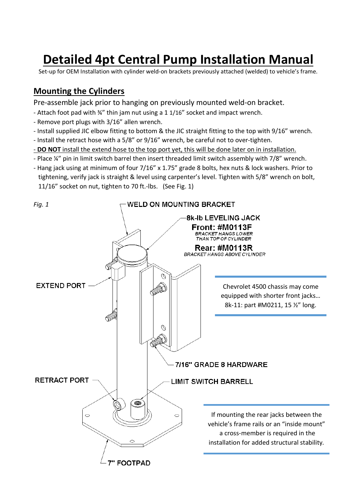### **Detailed 4pt Central Pump Installation Manual**

Set-up for OEM Installation with cylinder weld-on brackets previously attached (welded) to vehicle's frame.

#### **Mounting the Cylinders**

Pre-assemble jack prior to hanging on previously mounted weld-on bracket.

- Attach foot pad with ¾" thin jam nut using a 1 1/16" socket and impact wrench.
- Remove port plugs with 3/16" allen wrench.
- Install supplied JIC elbow fitting to bottom & the JIC straight fitting to the top with 9/16" wrench.
- Install the retract hose with a 5/8" or 9/16" wrench, be careful not to over-tighten.
- **DO NOT** install the extend hose to the top port yet, this will be done later on in installation.
- Place ¼" pin in limit switch barrel then insert threaded limit switch assembly with 7/8" wrench.
- Hang jack using at minimum of four 7/16" x 1.75" grade 8 bolts, hex nuts & lock washers. Prior to tightening, verify jack is straight & level using carpenter's level. Tighten with 5/8" wrench on bolt, 11/16" socket on nut, tighten to 70 ft.-lbs. (See Fig. 1)

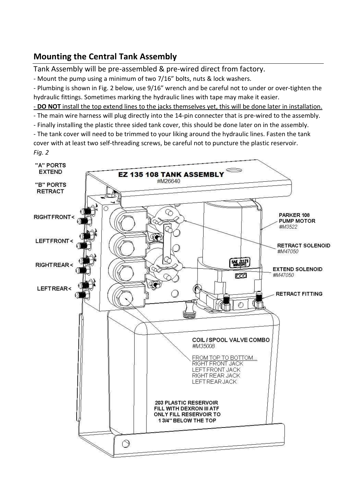#### **Mounting the Central Tank Assembly**

Tank Assembly will be pre-assembled & pre-wired direct from factory.

- Mount the pump using a minimum of two 7/16" bolts, nuts & lock washers.

- Plumbing is shown in Fig. 2 below, use 9/16" wrench and be careful not to under or over-tighten the hydraulic fittings. Sometimes marking the hydraulic lines with tape may make it easier.

- **DO NOT** install the top extend lines to the jacks themselves yet, this will be done later in installation.

- The main wire harness will plug directly into the 14-pin connecter that is pre-wired to the assembly.

- Finally installing the plastic three sided tank cover, this should be done later on in the assembly.

- The tank cover will need to be trimmed to your liking around the hydraulic lines. Fasten the tank cover with at least two self-threading screws, be careful not to puncture the plastic reservoir. *Fig. 2*

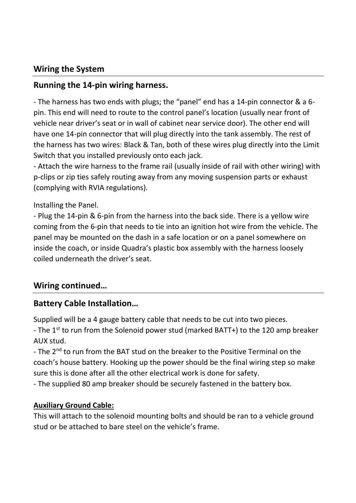#### **Wiring the System**

#### **Running the 14-pin wiring harness.**

- The harness has two ends with plugs; the "panel" end has a 14-pin connector & a 6 pin. This end will need to route to the control panel's location (usually near front of vehicle near driver's seat or in wall of cabinet near service door). The other end will have one 14-pin connector that will plug directly into the tank assembly. The rest of the harness has two wires: Black & Tan, both of these wires plug directly into the Limit Switch that you installed previously onto each jack.

- Attach the wire harness to the frame rail (usually inside of rail with other wiring) with p-clips or zip ties safely routing away from any moving suspension parts or exhaust (complying with RVIA regulations).

Installing the Panel.

- Plug the 14-pin & 6-pin from the harness into the back side. There is a yellow wire coming from the 6-pin that needs to tie into an ignition hot wire from the vehicle. The panel may be mounted on the dash in a safe location or on a panel somewhere on inside the coach, or inside Quadra's plastic box assembly with the harness loosely coiled underneath the driver's seat.

#### **Wiring continued…**

#### **Battery Cable Installation…**

Supplied will be a 4 gauge battery cable that needs to be cut into two pieces.

- The 1<sup>st</sup> to run from the Solenoid power stud (marked BATT+) to the 120 amp breaker AUX stud.

- The 2<sup>nd</sup> to run from the BAT stud on the breaker to the Positive Terminal on the coach's house battery. Hooking up the power should be the final wiring step so make sure this is done after all the other electrical work is done for safety.

- The supplied 80 amp breaker should be securely fastened in the battery box.

#### **Auxiliary Ground Cable:**

This will attach to the solenoid mounting bolts and should be ran to a vehicle ground stud or be attached to bare steel on the vehicle's frame.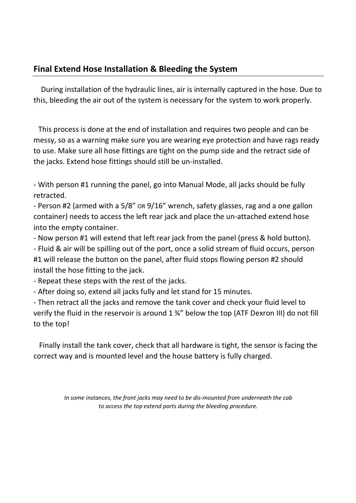#### **Final Extend Hose Installation & Bleeding the System**

 During installation of the hydraulic lines, air is internally captured in the hose. Due to this, bleeding the air out of the system is necessary for the system to work properly.

 This process is done at the end of installation and requires two people and can be messy, so as a warning make sure you are wearing eye protection and have rags ready to use. Make sure all hose fittings are tight on the pump side and the retract side of the jacks. Extend hose fittings should still be un-installed.

- With person #1 running the panel, go into Manual Mode, all jacks should be fully retracted.

- Person #2 (armed with a 5/8" OR 9/16" wrench, safety glasses, rag and a one gallon container) needs to access the left rear jack and place the un-attached extend hose into the empty container.

- Now person #1 will extend that left rear jack from the panel (press & hold button).

- Fluid & air will be spilling out of the port, once a solid stream of fluid occurs, person #1 will release the button on the panel, after fluid stops flowing person #2 should install the hose fitting to the jack.

- Repeat these steps with the rest of the jacks.

- After doing so, extend all jacks fully and let stand for 15 minutes.

- Then retract all the jacks and remove the tank cover and check your fluid level to verify the fluid in the reservoir is around 1 ¾" below the top (ATF Dexron III) do not fill to the top!

 Finally install the tank cover, check that all hardware is tight, the sensor is facing the correct way and is mounted level and the house battery is fully charged.

> *In some instances, the front jacks may need to be dis-mounted from underneath the cab to access the top extend ports during the bleeding procedure.*